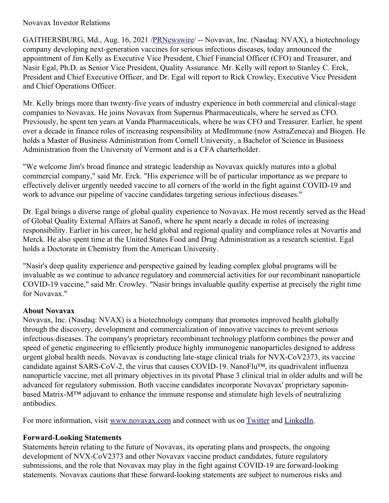## Novavax Investor Relations

GAITHERSBURG, Md., Aug. 16, 2021 [/PRNewswire](http://www.prnewswire.com/)/ -- Novavax, Inc. (Nasdaq: NVAX), a biotechnology company developing next-generation vaccines for serious infectious diseases, today announced the appointment of Jim Kelly as Executive Vice President, Chief Financial Officer (CFO) and Treasurer, and Nasir Egal, Ph.D. as Senior Vice President, Quality Assurance. Mr. Kelly will report to Stanley C. Erck, President and Chief Executive Officer, and Dr. Egal will report to Rick Crowley, Executive Vice President and Chief Operations Officer.

Mr. Kelly brings more than twenty-five years of industry experience in both commercial and clinical-stage companies to Novavax. He joins Novavax from Supernus Pharmaceuticals, where he served as CFO. Previously, he spent ten years at Vanda Pharmaceuticals, where he was CFO and Treasurer. Earlier, he spent over a decade in finance roles of increasing responsibility at MedImmune (now AstraZeneca) and Biogen. He holds a Master of Business Administration from Cornell University, a Bachelor of Science in Business Administration from the University of Vermont and is a CFA charterholder.

"We welcome Jim's broad finance and strategic leadership as Novavax quickly matures into a global commercial company," said Mr. Erck. "His experience will be of particular importance as we prepare to effectively deliver urgently needed vaccine to all corners of the world in the fight against COVID-19 and work to advance our pipeline of vaccine candidates targeting serious infectious diseases."

Dr. Egal brings a diverse range of global quality experience to Novavax. He most recently served as the Head of Global Quality External Affairs at Sanofi, where he spent nearly a decade in roles of increasing responsibility. Earlier in his career, he held global and regional quality and compliance roles at Novartis and Merck. He also spent time at the United States Food and Drug Administration as a research scientist. Egal holds a Doctorate in Chemistry from the American University.

"Nasir's deep quality experience and perspective gained by leading complex global programs will be invaluable as we continue to advance regulatory and commercial activities for our recombinant nanoparticle COVID-19 vaccine," said Mr. Crowley. "Nasir brings invaluable quality expertise at precisely the right time for Novavax."

## **About Novavax**

Novavax, Inc. (Nasdaq: NVAX) is a biotechnology company that promotes improved health globally through the discovery, development and commercialization of innovative vaccines to prevent serious infectious diseases. The company's proprietary recombinant technology platform combines the power and speed of genetic engineering to efficiently produce highly immunogenic nanoparticles designed to address urgent global health needs. Novavax is conducting late-stage clinical trials for NVX-CoV2373, its vaccine candidate against SARS-CoV-2, the virus that causes COVID-19. NanoFlu™, its quadrivalent influenza nanoparticle vaccine, met all primary objectives in its pivotal Phase 3 clinical trial in older adults and will be advanced for regulatory submission. Both vaccine candidates incorporate Novavax' proprietary saponinbased Matrix-M™ adjuvant to enhance the immune response and stimulate high levels of neutralizing antibodies.

For more information, visit [www.novavax.com](https://c212.net/c/link/?t=0&l=en&o=3260461-1&h=2897486098&u=http%3A%2F%2Fwww.novavax.com%2F&a=www.novavax.com) and connect with us on [Twitter](https://c212.net/c/link/?t=0&l=en&o=3260461-1&h=1316526774&u=https%3A%2F%2Fc212.net%2Fc%2Flink%2F%3Ft%3D0%26l%3Den%26o%3D3158017-1%26h%3D500821283%26u%3Dhttps%253A%252F%252Ftwitter.com%252FNovavax%26a%3DTwitter&a=Twitter) and [LinkedIn](https://c212.net/c/link/?t=0&l=en&o=3260461-1&h=1508558197&u=https%3A%2F%2Fc212.net%2Fc%2Flink%2F%3Ft%3D0%26l%3Den%26o%3D3158017-1%26h%3D3702938248%26u%3Dhttps%253A%252F%252Fwww.linkedin.com%252Fcompany%252Fnovavax%252F%26a%3DLinkedIn&a=LinkedIn).

## **Forward-Looking Statements**

Statements herein relating to the future of Novavax, its operating plans and prospects, the ongoing development of NVX-CoV2373 and other Novavax vaccine product candidates, future regulatory submissions, and the role that Novavax may play in the fight against COVID-19 are forward-looking statements. Novavax cautions that these forward-looking statements are subject to numerous risks and